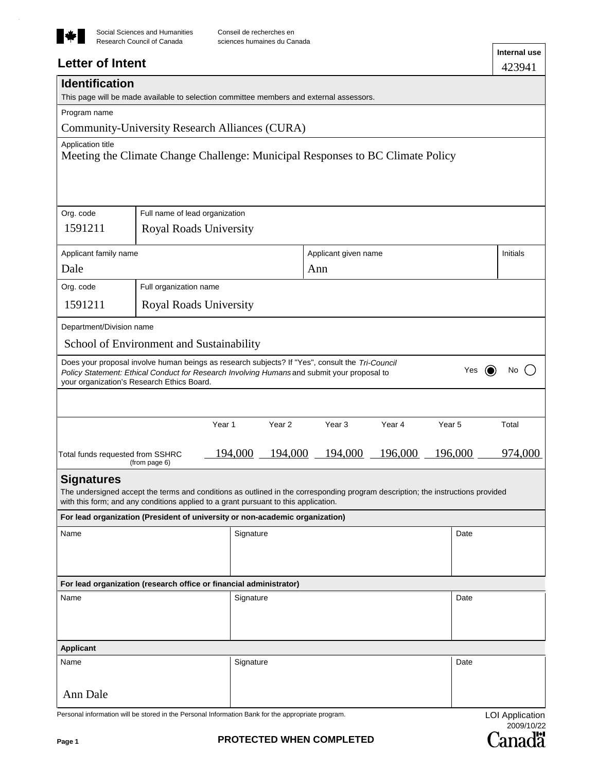

 $\ddot{\phantom{0}}$ 

# **Letter of Intent**

| <b>Identification</b>            |                                            | This page will be made available to selection committee members and external assessors.                                                                                                                                |                             |                   |                        |
|----------------------------------|--------------------------------------------|------------------------------------------------------------------------------------------------------------------------------------------------------------------------------------------------------------------------|-----------------------------|-------------------|------------------------|
| Program name                     |                                            |                                                                                                                                                                                                                        |                             |                   |                        |
|                                  |                                            | Community-University Research Alliances (CURA)                                                                                                                                                                         |                             |                   |                        |
| Application title                |                                            | Meeting the Climate Change Challenge: Municipal Responses to BC Climate Policy                                                                                                                                         |                             |                   |                        |
| Org. code                        | Full name of lead organization             |                                                                                                                                                                                                                        |                             |                   |                        |
| 1591211                          | <b>Royal Roads University</b>              |                                                                                                                                                                                                                        |                             |                   |                        |
| Applicant family name            |                                            |                                                                                                                                                                                                                        | Applicant given name        |                   | <b>Initials</b>        |
| Dale                             |                                            |                                                                                                                                                                                                                        | Ann                         |                   |                        |
| Org. code                        | Full organization name                     |                                                                                                                                                                                                                        |                             |                   |                        |
| 1591211                          | <b>Royal Roads University</b>              |                                                                                                                                                                                                                        |                             |                   |                        |
| Department/Division name         |                                            |                                                                                                                                                                                                                        |                             |                   |                        |
|                                  | School of Environment and Sustainability   |                                                                                                                                                                                                                        |                             |                   |                        |
|                                  | your organization's Research Ethics Board. | Does your proposal involve human beings as research subjects? If "Yes", consult the Tri-Council<br>Policy Statement: Ethical Conduct for Research Involving Humans and submit your proposal to                         |                             | Yes<br>(O)        | No                     |
|                                  |                                            |                                                                                                                                                                                                                        |                             |                   |                        |
|                                  |                                            | Year 1<br>Year <sub>2</sub>                                                                                                                                                                                            | Year <sub>3</sub><br>Year 4 | Year <sub>5</sub> | Total                  |
| Total funds requested from SSHRC | (from page 6)                              | 194,000<br>194,000                                                                                                                                                                                                     | 196,000<br>194,000          | 196,000           | 974,000                |
| <b>Signatures</b>                |                                            |                                                                                                                                                                                                                        |                             |                   |                        |
|                                  |                                            | The undersigned accept the terms and conditions as outlined in the corresponding program description; the instructions provided<br>with this form; and any conditions applied to a grant pursuant to this application. |                             |                   |                        |
|                                  |                                            | For lead organization (President of university or non-academic organization)                                                                                                                                           |                             |                   |                        |
| Name                             |                                            | Signature                                                                                                                                                                                                              |                             | Date              |                        |
|                                  |                                            |                                                                                                                                                                                                                        |                             |                   |                        |
|                                  |                                            | For lead organization (research office or financial administrator)                                                                                                                                                     |                             |                   |                        |
| Name                             |                                            | Signature                                                                                                                                                                                                              |                             | Date              |                        |
|                                  |                                            |                                                                                                                                                                                                                        |                             |                   |                        |
| <b>Applicant</b>                 |                                            |                                                                                                                                                                                                                        |                             |                   |                        |
| Name                             |                                            | Signature                                                                                                                                                                                                              |                             | Date              |                        |
|                                  |                                            |                                                                                                                                                                                                                        |                             |                   |                        |
| Ann Dale                         |                                            |                                                                                                                                                                                                                        |                             |                   |                        |
|                                  |                                            | Personal information will be stored in the Personal Information Bank for the appropriate program.                                                                                                                      |                             |                   | <b>LOI Application</b> |

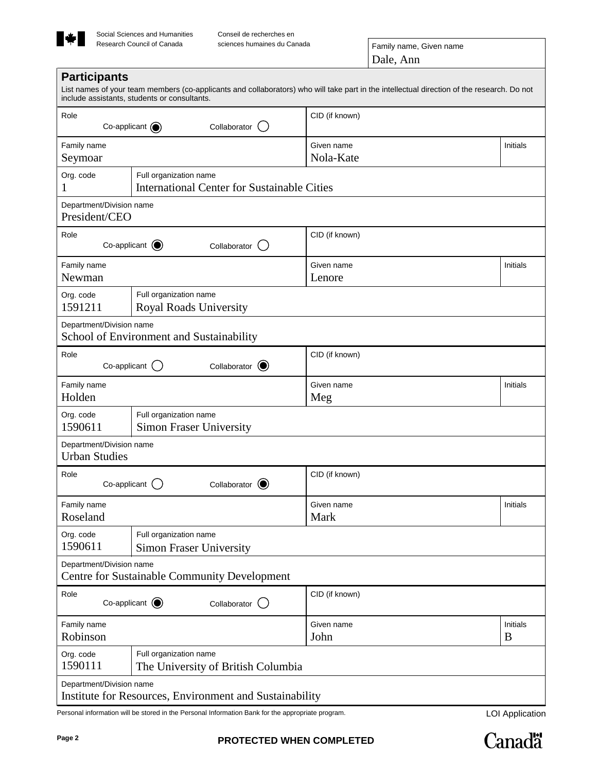

| Role<br>Co-applicant $\odot$                     | Collaborator                                                                 | CID (if known)          |          |
|--------------------------------------------------|------------------------------------------------------------------------------|-------------------------|----------|
| Family name<br>Seymoar                           |                                                                              | Given name<br>Nola-Kate | Initials |
| Org. code<br>1                                   | Full organization name<br><b>International Center for Sustainable Cities</b> |                         |          |
| Department/Division name<br>President/CEO        |                                                                              |                         |          |
| Role<br>Co-applicant $\bigcirc$                  | Collaborator                                                                 | CID (if known)          |          |
| Family name<br>Newman                            |                                                                              | Given name<br>Lenore    | Initials |
| Org. code<br>1591211                             | Full organization name<br><b>Royal Roads University</b>                      |                         |          |
| Department/Division name                         | School of Environment and Sustainability                                     |                         |          |
| Role<br>Co-applicant                             | Collaborator (                                                               | CID (if known)          |          |
| Family name<br>Holden                            |                                                                              | Given name<br>Meg       | Initials |
| Org. code<br>1590611                             | Full organization name<br><b>Simon Fraser University</b>                     |                         |          |
| Department/Division name<br><b>Urban Studies</b> |                                                                              |                         |          |
| Role<br>Co-applicant                             | Collaborator (O)                                                             | CID (if known)          |          |
| Family name<br>Roseland                          |                                                                              | Given name<br>Mark      | Initials |
| Org. code<br>1590611                             | Full organization name<br><b>Simon Fraser University</b>                     |                         |          |
| Department/Division name                         | <b>Centre for Sustainable Community Development</b>                          |                         |          |
| Role<br>Co-applicant $\odot$                     | Collaborator<br>(                                                            | CID (if known)          |          |
|                                                  |                                                                              | Given name              | Initials |
| Family name<br>Robinson                          |                                                                              | John                    | B        |

Personal information will be stored in the Personal Information Bank for the appropriate program.

LOI Application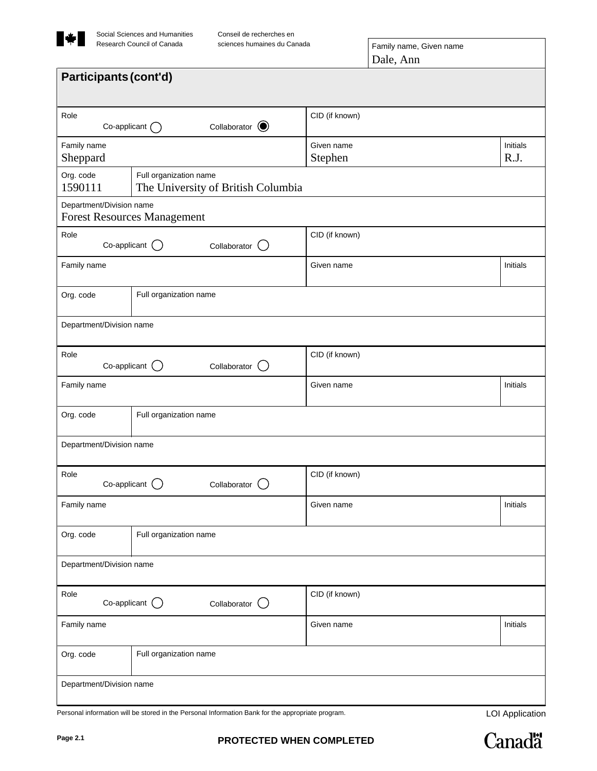

Conseil de recherches en

| Participants (cont'd)    |                                                              |                       |                  |
|--------------------------|--------------------------------------------------------------|-----------------------|------------------|
|                          |                                                              |                       |                  |
| Role                     | Collaborator $\bigcirc$<br>Co-applicant $\bigcap$            | CID (if known)        |                  |
| Family name<br>Sheppard  |                                                              | Given name<br>Stephen | Initials<br>R.J. |
| Org. code<br>1590111     | Full organization name<br>The University of British Columbia |                       |                  |
| Department/Division name | <b>Forest Resources Management</b>                           |                       |                  |
| Role                     | Co-applicant $\bigcirc$<br>Collaborator                      | CID (if known)        |                  |
| Family name              |                                                              | Given name            | Initials         |
| Org. code                | Full organization name                                       |                       |                  |
| Department/Division name |                                                              |                       |                  |
| Role                     | $Co$ -applicant $\bigcirc$<br>Collaborator (                 | CID (if known)        |                  |
| Family name              |                                                              | Given name            | Initials         |
| Org. code                | Full organization name                                       |                       |                  |
| Department/Division name |                                                              |                       |                  |
| Role                     | Co-applicant $\bigcirc$<br>Collaborator (                    | CID (if known)        |                  |
| Family name              |                                                              | Given name            | Initials         |
| Org. code                | Full organization name                                       |                       |                  |
| Department/Division name |                                                              |                       |                  |
| Role                     | Co-applicant $\bigcirc$<br>Collaborator $\bigcirc$           | CID (if known)        |                  |
| Family name              |                                                              | Given name            | Initials         |
| Org. code                | Full organization name                                       |                       |                  |
| Department/Division name |                                                              |                       |                  |

Personal information will be stored in the Personal Information Bank for the appropriate program.

LOI Application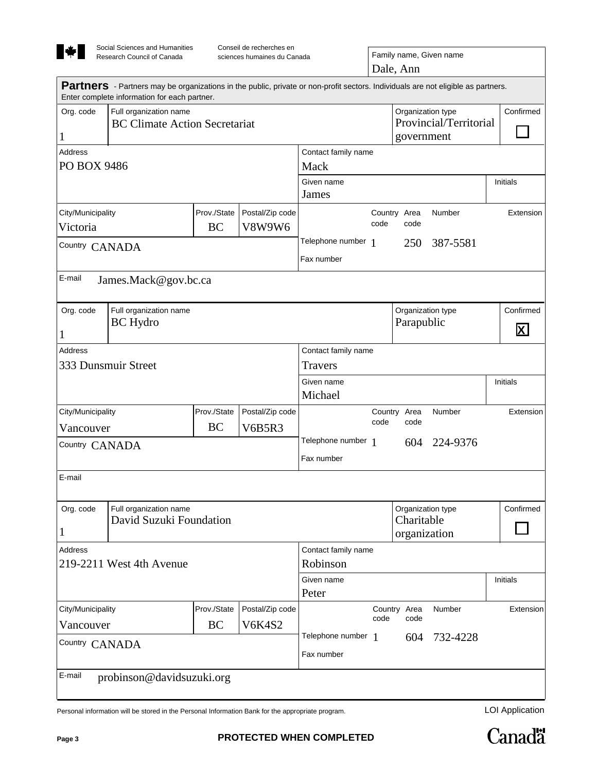

Dale, Ann sciences humaines du Canada Family name, Given name

|                               | <b>Partners</b> - Partners may be organizations in the public, private or non-profit sectors. Individuals are not eligible as partners.<br>Enter complete information for each partner. |             |                                 |                                   |                                                 |                                |           |           |  |
|-------------------------------|-----------------------------------------------------------------------------------------------------------------------------------------------------------------------------------------|-------------|---------------------------------|-----------------------------------|-------------------------------------------------|--------------------------------|-----------|-----------|--|
| Org. code<br>1                | Full organization name<br><b>BC Climate Action Secretariat</b>                                                                                                                          |             |                                 |                                   | Organization type<br>government                 | Provincial/Territorial         | Confirmed |           |  |
| <b>Address</b><br>PO BOX 9486 |                                                                                                                                                                                         |             | Contact family name<br>Mack     |                                   |                                                 |                                |           |           |  |
|                               |                                                                                                                                                                                         |             |                                 | Given name<br>James               |                                                 |                                |           | Initials  |  |
| City/Municipality             |                                                                                                                                                                                         | Prov./State | Postal/Zip code                 |                                   |                                                 | Country Area                   | Number    | Extension |  |
| Victoria                      |                                                                                                                                                                                         | <b>BC</b>   | <b>V8W9W6</b>                   |                                   | code                                            | code                           |           |           |  |
| Country CANADA                |                                                                                                                                                                                         |             |                                 | Telephone number 1<br>Fax number  |                                                 | 250                            | 387-5581  |           |  |
| E-mail                        | James.Mack@gov.bc.ca                                                                                                                                                                    |             |                                 |                                   |                                                 |                                |           |           |  |
| Org. code<br>$\mathbf 1$      | Full organization name<br><b>BC</b> Hydro                                                                                                                                               |             |                                 | Organization type<br>Parapublic   |                                                 | Confirmed<br>$\bm{\mathsf{X}}$ |           |           |  |
| <b>Address</b>                |                                                                                                                                                                                         |             |                                 | Contact family name               |                                                 |                                |           |           |  |
| 333 Dunsmuir Street           |                                                                                                                                                                                         |             | <b>Travers</b>                  |                                   |                                                 |                                |           |           |  |
|                               |                                                                                                                                                                                         |             |                                 | Given name<br>Initials<br>Michael |                                                 |                                |           |           |  |
| City/Municipality             |                                                                                                                                                                                         | Prov./State | Postal/Zip code                 | Country Area<br>Number            |                                                 |                                |           | Extension |  |
| Vancouver                     |                                                                                                                                                                                         | <b>BC</b>   | V6B5R3                          | code<br>code                      |                                                 |                                |           |           |  |
| Country CANADA                |                                                                                                                                                                                         |             |                                 | Telephone number 1<br>Fax number  |                                                 | 604                            | 224-9376  |           |  |
| E-mail                        |                                                                                                                                                                                         |             |                                 |                                   |                                                 |                                |           |           |  |
| Org. code<br>$\mathbf{1}$     | Full organization name<br>David Suzuki Foundation                                                                                                                                       |             |                                 |                                   | Organization type<br>Charitable<br>organization |                                | Confirmed |           |  |
| <b>Address</b>                | 219-2211 West 4th Avenue                                                                                                                                                                |             |                                 |                                   | Contact family name<br>Robinson                 |                                |           |           |  |
|                               |                                                                                                                                                                                         |             | Given name<br>Initials<br>Peter |                                   |                                                 |                                |           |           |  |
| City/Municipality             |                                                                                                                                                                                         | Prov./State | Postal/Zip code                 |                                   |                                                 | Country Area                   | Number    | Extension |  |
| Vancouver                     |                                                                                                                                                                                         | <b>BC</b>   | <b>V6K4S2</b>                   |                                   | code                                            | code                           |           |           |  |
| Country CANADA                |                                                                                                                                                                                         |             |                                 | Telephone number 1<br>Fax number  |                                                 | 604                            | 732-4228  |           |  |
| E-mail                        | probinson@davidsuzuki.org                                                                                                                                                               |             |                                 |                                   |                                                 |                                |           |           |  |

Personal information will be stored in the Personal Information Bank for the appropriate program.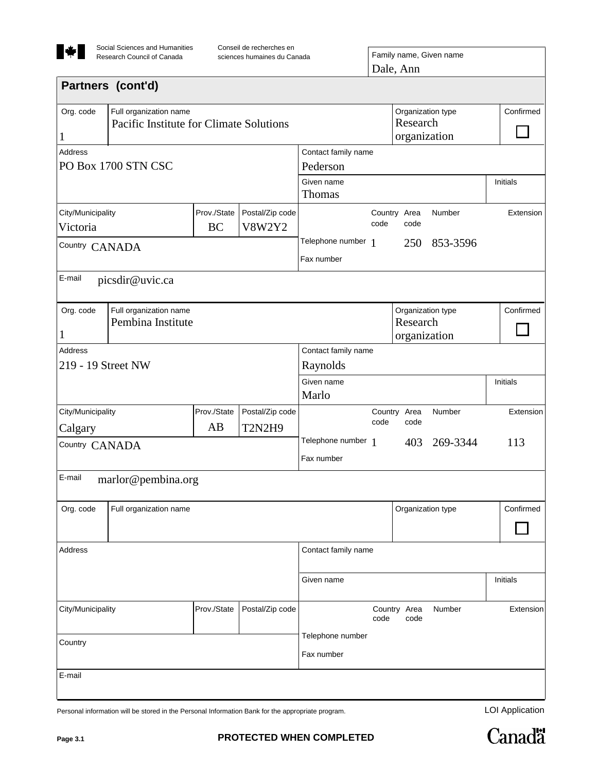

| Conseil de recherches en    |  |
|-----------------------------|--|
| sciences humaines du Canada |  |

| OUIDEII UE TEUNEIUNGO EN I<br>sciences humaines du Canada | Family name, Given name |
|-----------------------------------------------------------|-------------------------|
|                                                           | $\overline{D}$ ala Ann  |

| Dale, Ann |  |
|-----------|--|
|-----------|--|

|                                                     |                                                                   |             |                     |                                               | <i><b>ulv, 1 11111</b></i>                    |                   |           |           |
|-----------------------------------------------------|-------------------------------------------------------------------|-------------|---------------------|-----------------------------------------------|-----------------------------------------------|-------------------|-----------|-----------|
|                                                     | Partners (cont'd)                                                 |             |                     |                                               |                                               |                   |           |           |
| Org. code<br>$\mathbf 1$                            | Full organization name<br>Pacific Institute for Climate Solutions |             |                     |                                               | Organization type<br>Research<br>organization |                   | Confirmed |           |
| Address                                             |                                                                   |             |                     | Contact family name                           |                                               |                   |           |           |
|                                                     | PO Box 1700 STN CSC                                               | Pederson    |                     |                                               |                                               |                   |           |           |
|                                                     | Given name<br>Thomas                                              | Initials    |                     |                                               |                                               |                   |           |           |
| City/Municipality                                   |                                                                   | Prov./State | Postal/Zip code     |                                               |                                               | Country Area      | Number    | Extension |
| Victoria                                            |                                                                   | <b>BC</b>   | <b>V8W2Y2</b>       |                                               | code                                          | code              |           |           |
| Country CANADA                                      |                                                                   |             |                     | Telephone number 1                            |                                               | 250               | 853-3596  |           |
|                                                     |                                                                   |             |                     | Fax number                                    |                                               |                   |           |           |
| E-mail                                              | picsdir@uvic.ca                                                   |             |                     |                                               |                                               |                   |           |           |
| Org. code<br>$\mathbf 1$                            | Full organization name<br>Pembina Institute                       |             |                     | Organization type<br>Research<br>organization |                                               | Confirmed         |           |           |
| Address                                             |                                                                   |             |                     | Contact family name                           |                                               |                   |           |           |
| 219 - 19 Street NW                                  |                                                                   |             | Raynolds            |                                               |                                               |                   |           |           |
|                                                     |                                                                   |             |                     | Given name<br>Marlo                           |                                               |                   |           | Initials  |
| City/Municipality                                   |                                                                   | Prov./State | Postal/Zip code     |                                               |                                               | Country Area      | Number    | Extension |
| Calgary                                             |                                                                   | AB          | <b>T2N2H9</b>       |                                               | code                                          | code              |           |           |
| Country CANADA                                      |                                                                   |             |                     | Telephone number 1<br>Fax number              |                                               | 403               | 269-3344  | 113       |
| E-mail                                              | marlor@pembina.org                                                |             |                     |                                               |                                               |                   |           |           |
| Org. code                                           | Full organization name                                            |             |                     |                                               |                                               | Organization type |           | Confirmed |
| <b>Address</b>                                      |                                                                   |             | Contact family name |                                               |                                               |                   |           |           |
|                                                     |                                                                   |             |                     | Given name                                    |                                               |                   |           | Initials  |
| Prov./State<br>Postal/Zip code<br>City/Municipality |                                                                   |             | code                | Country Area<br>code                          | Number                                        | Extension         |           |           |
|                                                     |                                                                   |             | Telephone number    |                                               |                                               |                   |           |           |
| Country                                             |                                                                   |             |                     | Fax number                                    |                                               |                   |           |           |
| E-mail                                              |                                                                   |             |                     |                                               |                                               |                   |           |           |
|                                                     |                                                                   |             |                     |                                               |                                               |                   |           |           |

Personal information will be stored in the Personal Information Bank for the appropriate program.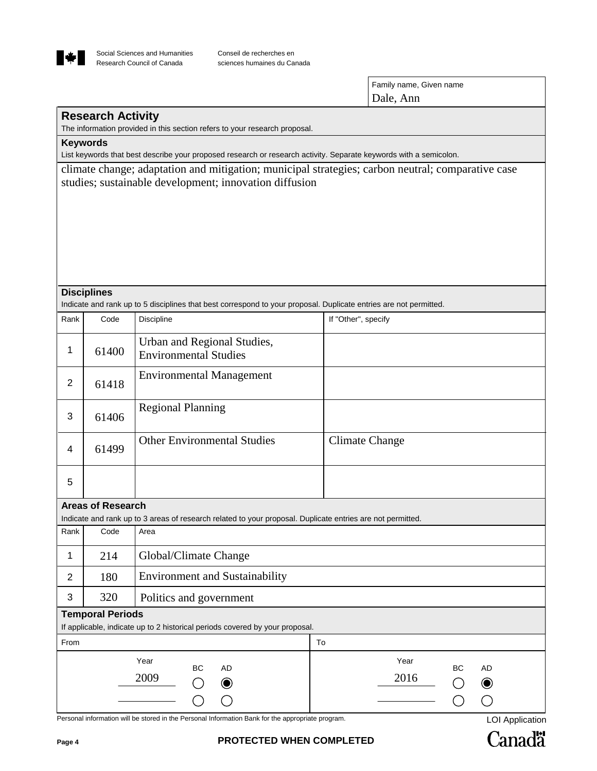

| Family name, Given name |  |
|-------------------------|--|
| Dale, Ann               |  |

# **Research Activity**

The information provided in this section refers to your research proposal.

**Keywords**

List keywords that best describe your proposed research or research activity. Separate keywords with a semicolon.

climate change; adaptation and mitigation; municipal strategies; carbon neutral; comparative case studies; sustainable development; innovation diffusion

#### **Disciplines**

Indicate and rank up to 5 disciplines that best correspond to your proposal. Duplicate entries are not permitted.

| Rank           | Code                     | Discipline                                                                                                 | If "Other", specify                                 |  |  |  |  |  |  |
|----------------|--------------------------|------------------------------------------------------------------------------------------------------------|-----------------------------------------------------|--|--|--|--|--|--|
| 1              | 61400                    | Urban and Regional Studies,<br><b>Environmental Studies</b>                                                |                                                     |  |  |  |  |  |  |
| $\overline{2}$ | 61418                    | <b>Environmental Management</b>                                                                            |                                                     |  |  |  |  |  |  |
| 3              | 61406                    | <b>Regional Planning</b>                                                                                   |                                                     |  |  |  |  |  |  |
| 4              | 61499                    | <b>Other Environmental Studies</b>                                                                         | <b>Climate Change</b>                               |  |  |  |  |  |  |
| 5              |                          |                                                                                                            |                                                     |  |  |  |  |  |  |
|                | <b>Areas of Research</b> |                                                                                                            |                                                     |  |  |  |  |  |  |
|                |                          | Indicate and rank up to 3 areas of research related to your proposal. Duplicate entries are not permitted. |                                                     |  |  |  |  |  |  |
| Rank           | Code                     | Area                                                                                                       |                                                     |  |  |  |  |  |  |
| 1              | 214                      | Global/Climate Change                                                                                      |                                                     |  |  |  |  |  |  |
| $\overline{2}$ | 180                      | <b>Environment and Sustainability</b>                                                                      |                                                     |  |  |  |  |  |  |
| 3              | 320                      | Politics and government                                                                                    |                                                     |  |  |  |  |  |  |
|                | <b>Temporal Periods</b>  |                                                                                                            |                                                     |  |  |  |  |  |  |
|                |                          | If applicable, indicate up to 2 historical periods covered by your proposal.                               |                                                     |  |  |  |  |  |  |
| From           |                          |                                                                                                            | To                                                  |  |  |  |  |  |  |
|                |                          | Year<br><b>BC</b><br><b>AD</b><br>2009<br>$\bullet$                                                        | Year<br><b>BC</b><br><b>AD</b><br>2016<br>$\bullet$ |  |  |  |  |  |  |

Personal information will be stored in the Personal Information Bank for the appropriate program. LOI Application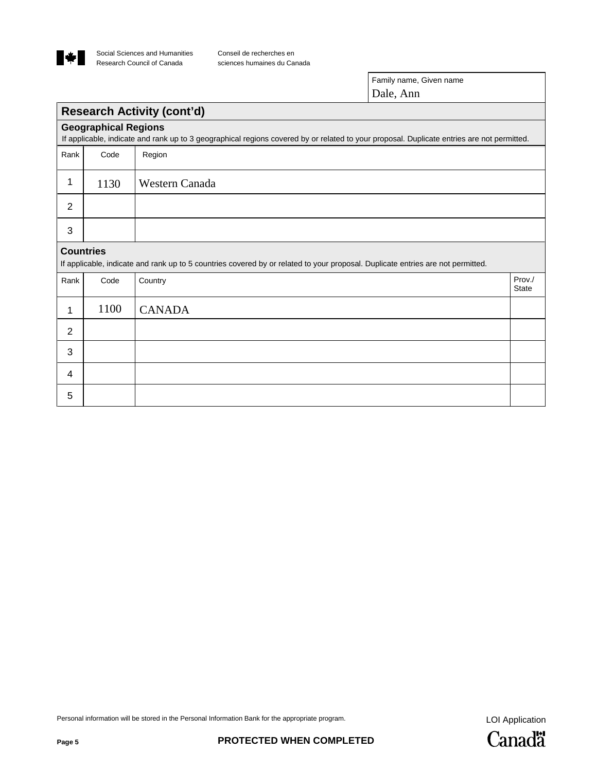

Conseil de recherches en sciences humaines du Canada

> Family name, Given name Dale, Ann

# **Research Activity (cont'd)**

|                | <b>Geographical Regions</b> | If applicable, indicate and rank up to 3 geographical regions covered by or related to your proposal. Duplicate entries are not permitted. |                        |
|----------------|-----------------------------|--------------------------------------------------------------------------------------------------------------------------------------------|------------------------|
| Rank           | Code                        | Region                                                                                                                                     |                        |
| 1              | 1130                        | Western Canada                                                                                                                             |                        |
| $\overline{2}$ |                             |                                                                                                                                            |                        |
| 3              |                             |                                                                                                                                            |                        |
|                | <b>Countries</b>            | If applicable, indicate and rank up to 5 countries covered by or related to your proposal. Duplicate entries are not permitted.            |                        |
| Rank           | Code                        | Country                                                                                                                                    | Prov./<br><b>State</b> |
| 1              | 1100                        | <b>CANADA</b>                                                                                                                              |                        |
| $\overline{2}$ |                             |                                                                                                                                            |                        |
| 3              |                             |                                                                                                                                            |                        |
| 4              |                             |                                                                                                                                            |                        |
| 5              |                             |                                                                                                                                            |                        |

Personal information will be stored in the Personal Information Bank for the appropriate program.<br>
LOI Application

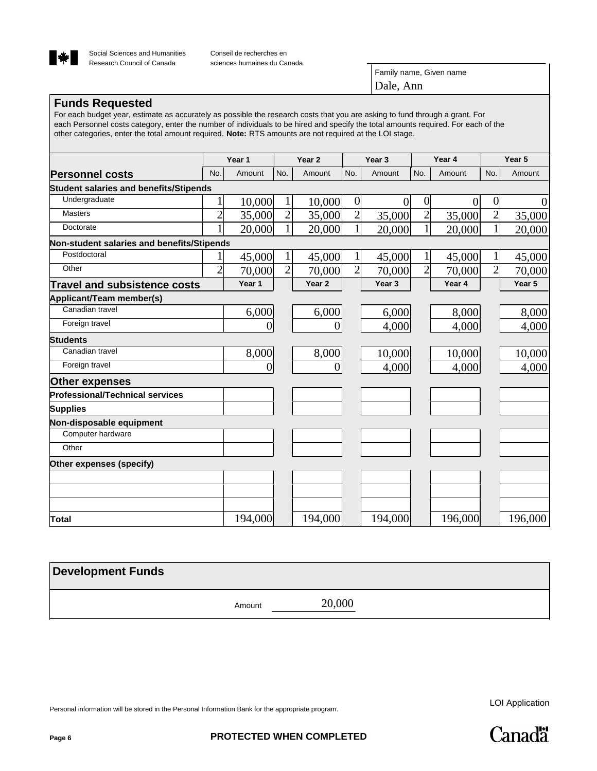

Family name, Given name Dale, Ann

# **Funds Requested**

For each budget year, estimate as accurately as possible the research costs that you are asking to fund through a grant. For each Personnel costs category, enter the number of individuals to be hired and specify the total amounts required. For each of the other categories, enter the total amount required. **Note:** RTS amounts are not required at the LOI stage.

|                                               |                | Year 1  |                | Year <sub>2</sub> |                 | Year <sub>3</sub> |                 | Year 4         |                | Year 5   |  |
|-----------------------------------------------|----------------|---------|----------------|-------------------|-----------------|-------------------|-----------------|----------------|----------------|----------|--|
| <b>Personnel costs</b>                        | No.            | Amount  | No.            | Amount            | No.             | Amount            | No.             | Amount         | No.            | Amount   |  |
| <b>Student salaries and benefits/Stipends</b> |                |         |                |                   |                 |                   |                 |                |                |          |  |
| Undergraduate                                 |                | 10,000  |                | 10,000            | $\vert 0 \vert$ | $\overline{0}$    | $\vert 0 \vert$ | $\overline{0}$ | $\overline{0}$ | $\theta$ |  |
| <b>Masters</b>                                | $\overline{2}$ | 35,000  | $\overline{c}$ | 35,000            | $\overline{2}$  | 35,000            | $\overline{2}$  | 35,000         | $\overline{c}$ | 35,000   |  |
| Doctorate                                     |                | 20,000  |                | 20,000            | $\mathbf{1}$    | 20,000            | $\mathbf{1}$    | 20,000         | $\mathbf{1}$   | 20,000   |  |
| Non-student salaries and benefits/Stipends    |                |         |                |                   |                 |                   |                 |                |                |          |  |
| Postdoctoral                                  |                | 45,000  |                | 45,000            | 1               | 45,000            |                 | 45,000         |                | 45,000   |  |
| Other                                         | $\overline{2}$ | 70,000  | $\overline{2}$ | 70,000            | $\overline{2}$  | 70,000            | $\overline{2}$  | 70,000         | $\overline{2}$ | 70,000   |  |
| <b>Travel and subsistence costs</b>           |                | Year 1  |                | Year <sub>2</sub> |                 | Year 3            |                 | Year 4         |                | Year 5   |  |
| Applicant/Team member(s)                      |                |         |                |                   |                 |                   |                 |                |                |          |  |
| Canadian travel                               |                | 6,000   |                | 6,000             |                 | 6,000             |                 | 8,000          |                | 8,000    |  |
| Foreign travel                                |                |         |                |                   |                 | 4,000             |                 | 4,000          |                | 4,000    |  |
| Students                                      |                |         |                |                   |                 |                   |                 |                |                |          |  |
| Canadian travel                               |                | 8,000   |                | 8,000             |                 | 10,000            |                 | 10,000         |                | 10,000   |  |
| Foreign travel                                |                |         |                | 0                 |                 | 4,000             |                 | 4,000          |                | 4,000    |  |
| Other expenses                                |                |         |                |                   |                 |                   |                 |                |                |          |  |
| <b>Professional/Technical services</b>        |                |         |                |                   |                 |                   |                 |                |                |          |  |
| <b>Supplies</b>                               |                |         |                |                   |                 |                   |                 |                |                |          |  |
| Non-disposable equipment                      |                |         |                |                   |                 |                   |                 |                |                |          |  |
| Computer hardware                             |                |         |                |                   |                 |                   |                 |                |                |          |  |
| Other                                         |                |         |                |                   |                 |                   |                 |                |                |          |  |
| Other expenses (specify)                      |                |         |                |                   |                 |                   |                 |                |                |          |  |
|                                               |                |         |                |                   |                 |                   |                 |                |                |          |  |
|                                               |                |         |                |                   |                 |                   |                 |                |                |          |  |
|                                               |                |         |                |                   |                 |                   |                 |                |                |          |  |
| Total                                         |                | 194,000 |                | 194,000           |                 | 194,000           |                 | 196,000        |                | 196,000  |  |

| <b>Development Funds</b> |        |        |
|--------------------------|--------|--------|
|                          | Amount | 20,000 |

Personal information will be stored in the Personal Information Bank for the appropriate program.

LOI Application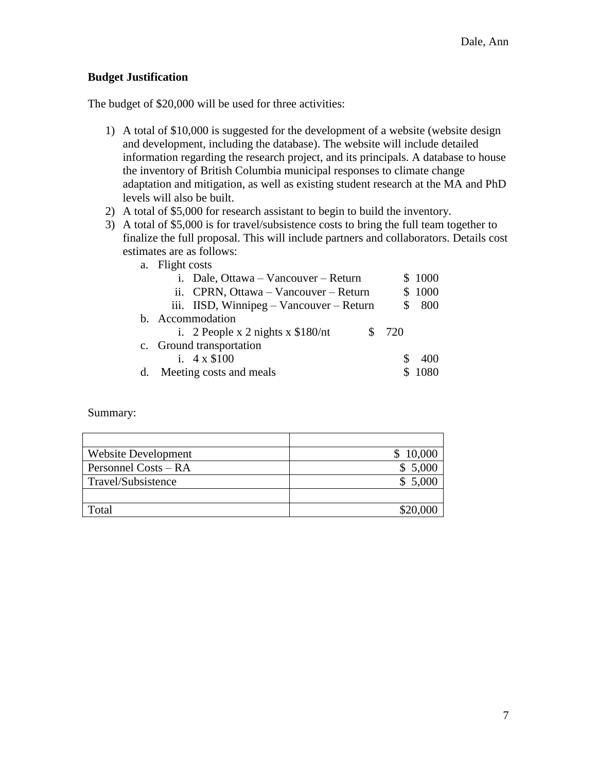# **Budget Justification**

The budget of \$20,000 will be used for three activities:

- 1) A total of \$10,000 is suggested for the development of a website (website design and development, including the database). The website will include detailed information regarding the research project, and its principals. A database to house the inventory of British Columbia municipal responses to climate change adaptation and mitigation, as well as existing student research at the MA and PhD levels will also be built.
- 2) A total of \$5,000 for research assistant to begin to build the inventory.
- 3) A total of \$5,000 is for travel/subsistence costs to bring the full team together to finalize the full proposal. This will include partners and collaborators. Details cost estimates are as follows:
	- a. Flight costs

|  | i. Dale, Ottawa – Vancouver – Return     |  |        | \$1000 |
|--|------------------------------------------|--|--------|--------|
|  | ii. CPRN, Ottawa – Vancouver – Return    |  | \$1000 |        |
|  | iii. IISD, Winnipeg – Vancouver – Return |  |        | \$800  |
|  | b. Accommodation                         |  |        |        |
|  | i. 2 People x 2 nights x $$180/nt$       |  | \$720  |        |
|  | c. Ground transportation                 |  |        |        |
|  | i. $4 \times \$100$                      |  |        | 400    |
|  | d. Meeting costs and meals               |  |        | 1080   |

Summary:

| <b>Website Development</b> | 10,000   |
|----------------------------|----------|
| Personnel Costs – RA       | \$5,000  |
| Travel/Subsistence         | \$5,000  |
|                            |          |
| Total                      | \$20,000 |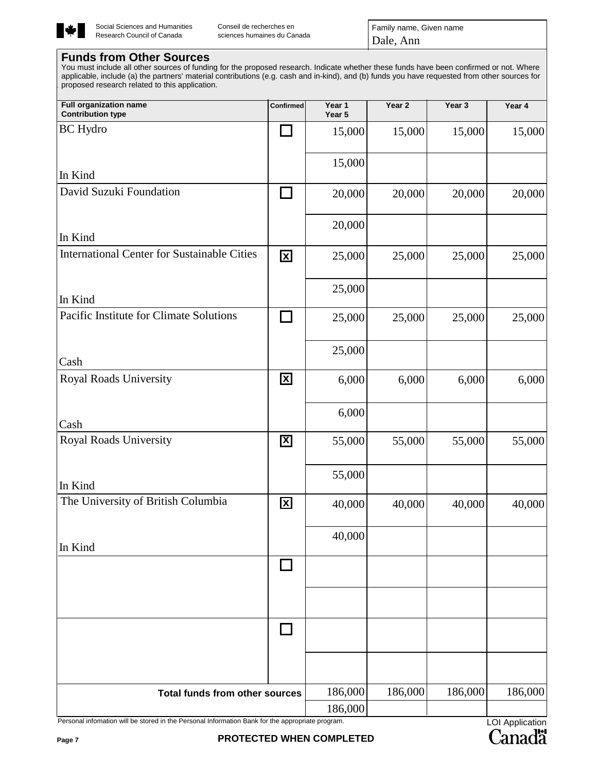

Conseil de recherches en sciences humaines du Canada Family name, Given name Dale, Ann

# **Funds from Other Sources**

You must include all other sources of funding for the proposed research. Indicate whether these funds have been confirmed or not. Where applicable, include (a) the partners' material contributions (e.g. cash and in-kind), and (b) funds you have requested from other sources for proposed research related to this application.

| <b>Full organization name</b><br><b>Contribution type</b>                                        | Confirmed            | Year 1<br>Year 5 | Year <sub>2</sub> | Year 3  | Year 4          |
|--------------------------------------------------------------------------------------------------|----------------------|------------------|-------------------|---------|-----------------|
| <b>BC</b> Hydro                                                                                  |                      | 15,000           | 15,000            | 15,000  | 15,000          |
|                                                                                                  |                      |                  |                   |         |                 |
| In Kind                                                                                          |                      | 15,000           |                   |         |                 |
| David Suzuki Foundation                                                                          | $\Box$               | 20,000           | 20,000            | 20,000  | 20,000          |
| In Kind                                                                                          |                      | 20,000           |                   |         |                 |
| <b>International Center for Sustainable Cities</b>                                               | $\boxed{\mathbf{X}}$ | 25,000           | 25,000            | 25,000  | 25,000          |
| In Kind                                                                                          |                      | 25,000           |                   |         |                 |
| Pacific Institute for Climate Solutions                                                          | <b>College</b>       | 25,000           | 25,000            | 25,000  | 25,000          |
| Cash                                                                                             |                      | 25,000           |                   |         |                 |
| Royal Roads University                                                                           | $\boxed{\mathbf{X}}$ | 6,000            | 6,000             | 6,000   | 6,000           |
| Cash                                                                                             |                      | 6,000            |                   |         |                 |
| <b>Royal Roads University</b>                                                                    | $\boxed{\mathbf{X}}$ | 55,000           | 55,000            | 55,000  | 55,000          |
| In Kind                                                                                          |                      | 55,000           |                   |         |                 |
| The University of British Columbia                                                               | 区                    | 40,000           | 40,000            | 40,000  | 40,000          |
| In Kind                                                                                          |                      | 40,000           |                   |         |                 |
|                                                                                                  |                      |                  |                   |         |                 |
|                                                                                                  |                      |                  |                   |         |                 |
|                                                                                                  |                      |                  |                   |         |                 |
|                                                                                                  |                      |                  |                   |         |                 |
| <b>Total funds from other sources</b>                                                            |                      | 186,000          | 186,000           | 186,000 | 186,000         |
| Personal infomation will be stored in the Personal Information Bank for the appropriate program. |                      | 186,000          |                   |         | LOL Application |

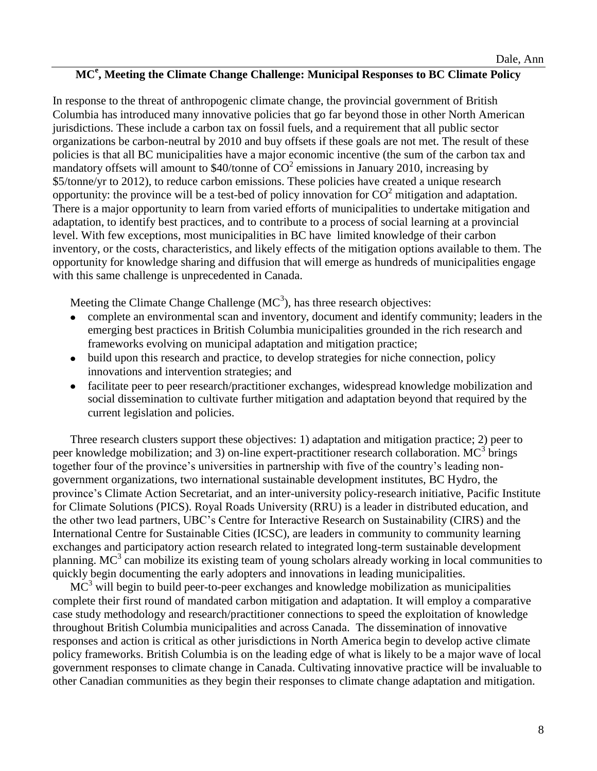# **MC<sup>e</sup> , Meeting the Climate Change Challenge: Municipal Responses to BC Climate Policy**

In response to the threat of anthropogenic climate change, the provincial government of British Columbia has introduced many innovative policies that go far beyond those in other North American jurisdictions. These include a carbon tax on fossil fuels, and a requirement that all public sector organizations be carbon-neutral by 2010 and buy offsets if these goals are not met. The result of these policies is that all BC municipalities have a major economic incentive (the sum of the carbon tax and mandatory offsets will amount to \$40/tonne of  $CO^2$  emissions in January 2010, increasing by \$5/tonne/yr to 2012), to reduce carbon emissions. These policies have created a unique research opportunity: the province will be a test-bed of policy innovation for  $CO^2$  mitigation and adaptation. There is a major opportunity to learn from varied efforts of municipalities to undertake mitigation and adaptation, to identify best practices, and to contribute to a process of social learning at a provincial level. With few exceptions, most municipalities in BC have limited knowledge of their carbon inventory, or the costs, characteristics, and likely effects of the mitigation options available to them. The opportunity for knowledge sharing and diffusion that will emerge as hundreds of municipalities engage with this same challenge is unprecedented in Canada.

Meeting the Climate Change Challenge  $(MC<sup>3</sup>)$ , has three research objectives:

- complete an environmental scan and inventory, document and identify community; leaders in the emerging best practices in British Columbia municipalities grounded in the rich research and frameworks evolving on municipal adaptation and mitigation practice;
- build upon this research and practice, to develop strategies for niche connection, policy innovations and intervention strategies; and
- facilitate peer to peer research/practitioner exchanges, widespread knowledge mobilization and  $\bullet$ social dissemination to cultivate further mitigation and adaptation beyond that required by the current legislation and policies.

Three research clusters support these objectives: 1) adaptation and mitigation practice; 2) peer to peer knowledge mobilization; and 3) on-line expert-practitioner research collaboration.  $MC^3$  brings together four of the province's universities in partnership with five of the country's leading nongovernment organizations, two international sustainable development institutes, BC Hydro, the province's Climate Action Secretariat, and an inter-university policy-research initiative, Pacific Institute for Climate Solutions (PICS). Royal Roads University (RRU) is a leader in distributed education, and the other two lead partners, UBC's Centre for Interactive Research on Sustainability (CIRS) and the International Centre for Sustainable Cities (ICSC), are leaders in community to community learning exchanges and participatory action research related to integrated long-term sustainable development planning. MC<sup>3</sup> can mobilize its existing team of young scholars already working in local communities to quickly begin documenting the early adopters and innovations in leading municipalities.

 $MC<sup>3</sup>$  will begin to build peer-to-peer exchanges and knowledge mobilization as municipalities complete their first round of mandated carbon mitigation and adaptation. It will employ a comparative case study methodology and research/practitioner connections to speed the exploitation of knowledge throughout British Columbia municipalities and across Canada. The dissemination of innovative responses and action is critical as other jurisdictions in North America begin to develop active climate policy frameworks. British Columbia is on the leading edge of what is likely to be a major wave of local government responses to climate change in Canada. Cultivating innovative practice will be invaluable to other Canadian communities as they begin their responses to climate change adaptation and mitigation.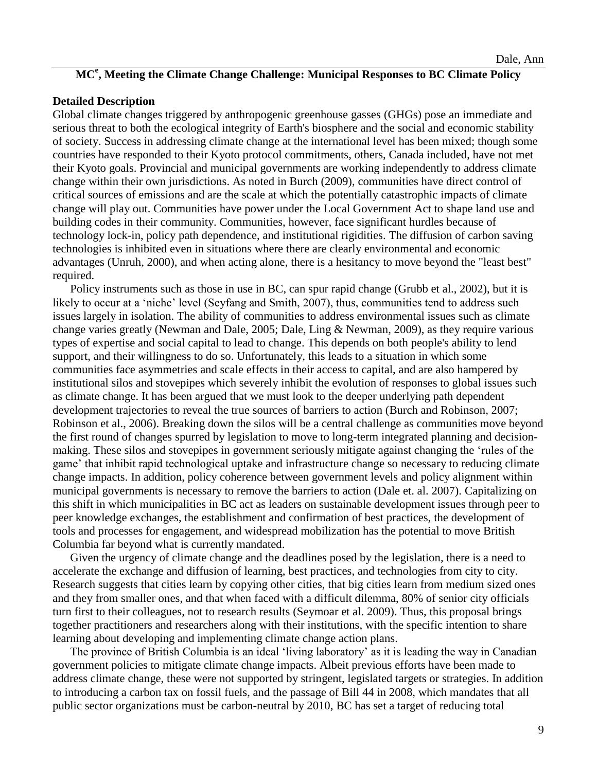# **MC<sup>e</sup> , Meeting the Climate Change Challenge: Municipal Responses to BC Climate Policy**

#### **Detailed Description**

Global climate changes triggered by anthropogenic greenhouse gasses (GHGs) pose an immediate and serious threat to both the ecological integrity of Earth's biosphere and the social and economic stability of society. Success in addressing climate change at the international level has been mixed; though some countries have responded to their Kyoto protocol commitments, others, Canada included, have not met their Kyoto goals. Provincial and municipal governments are working independently to address climate change within their own jurisdictions. As noted in Burch (2009), communities have direct control of critical sources of emissions and are the scale at which the potentially catastrophic impacts of climate change will play out. Communities have power under the Local Government Act to shape land use and building codes in their community. Communities, however, face significant hurdles because of technology lock-in, policy path dependence, and institutional rigidities. The diffusion of carbon saving technologies is inhibited even in situations where there are clearly environmental and economic advantages (Unruh, 2000), and when acting alone, there is a hesitancy to move beyond the "least best" required.

Policy instruments such as those in use in BC, can spur rapid change (Grubb et al., 2002), but it is likely to occur at a 'niche' level (Seyfang and Smith, 2007), thus, communities tend to address such issues largely in isolation. The ability of communities to address environmental issues such as climate change varies greatly (Newman and Dale, 2005; Dale, Ling & Newman, 2009), as they require various types of expertise and social capital to lead to change. This depends on both people's ability to lend support, and their willingness to do so. Unfortunately, this leads to a situation in which some communities face asymmetries and scale effects in their access to capital, and are also hampered by institutional silos and stovepipes which severely inhibit the evolution of responses to global issues such as climate change. It has been argued that we must look to the deeper underlying path dependent development trajectories to reveal the true sources of barriers to action (Burch and Robinson, 2007; Robinson et al., 2006). Breaking down the silos will be a central challenge as communities move beyond the first round of changes spurred by legislation to move to long-term integrated planning and decisionmaking. These silos and stovepipes in government seriously mitigate against changing the 'rules of the game' that inhibit rapid technological uptake and infrastructure change so necessary to reducing climate change impacts. In addition, policy coherence between government levels and policy alignment within municipal governments is necessary to remove the barriers to action (Dale et. al. 2007). Capitalizing on this shift in which municipalities in BC act as leaders on sustainable development issues through peer to peer knowledge exchanges, the establishment and confirmation of best practices, the development of tools and processes for engagement, and widespread mobilization has the potential to move British Columbia far beyond what is currently mandated.

Given the urgency of climate change and the deadlines posed by the legislation, there is a need to accelerate the exchange and diffusion of learning, best practices, and technologies from city to city. Research suggests that cities learn by copying other cities, that big cities learn from medium sized ones and they from smaller ones, and that when faced with a difficult dilemma, 80% of senior city officials turn first to their colleagues, not to research results (Seymoar et al. 2009). Thus, this proposal brings together practitioners and researchers along with their institutions, with the specific intention to share learning about developing and implementing climate change action plans.

The province of British Columbia is an ideal 'living laboratory' as it is leading the way in Canadian government policies to mitigate climate change impacts. Albeit previous efforts have been made to address climate change, these were not supported by stringent, legislated targets or strategies. In addition to introducing a carbon tax on fossil fuels, and the passage of Bill 44 in 2008, which mandates that all public sector organizations must be carbon-neutral by 2010, BC has set a target of reducing total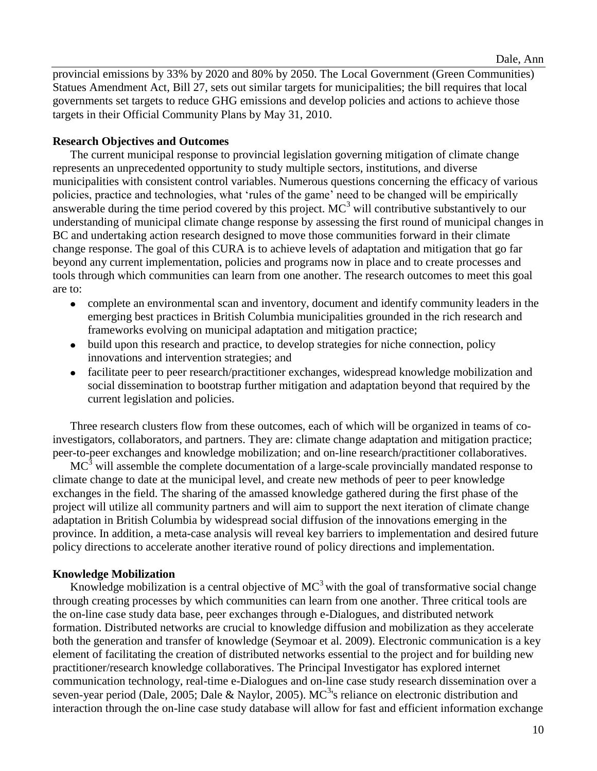provincial emissions by 33% by 2020 and 80% by 2050. The Local Government (Green Communities) Statues Amendment Act, Bill 27, sets out similar targets for municipalities; the bill requires that local governments set targets to reduce GHG emissions and develop policies and actions to achieve those targets in their Official Community Plans by May 31, 2010.

# **Research Objectives and Outcomes**

The current municipal response to provincial legislation governing mitigation of climate change represents an unprecedented opportunity to study multiple sectors, institutions, and diverse municipalities with consistent control variables. Numerous questions concerning the efficacy of various policies, practice and technologies, what 'rules of the game' need to be changed will be empirically answerable during the time period covered by this project.  $MC^3$  will contributive substantively to our understanding of municipal climate change response by assessing the first round of municipal changes in BC and undertaking action research designed to move those communities forward in their climate change response. The goal of this CURA is to achieve levels of adaptation and mitigation that go far beyond any current implementation, policies and programs now in place and to create processes and tools through which communities can learn from one another. The research outcomes to meet this goal are to:

- complete an environmental scan and inventory, document and identify community leaders in the emerging best practices in British Columbia municipalities grounded in the rich research and frameworks evolving on municipal adaptation and mitigation practice;
- build upon this research and practice, to develop strategies for niche connection, policy innovations and intervention strategies; and
- facilitate peer to peer research/practitioner exchanges, widespread knowledge mobilization and social dissemination to bootstrap further mitigation and adaptation beyond that required by the current legislation and policies.

Three research clusters flow from these outcomes, each of which will be organized in teams of coinvestigators, collaborators, and partners. They are: climate change adaptation and mitigation practice; peer-to-peer exchanges and knowledge mobilization; and on-line research/practitioner collaboratives.

 $MC<sup>3</sup>$  will assemble the complete documentation of a large-scale provincially mandated response to climate change to date at the municipal level, and create new methods of peer to peer knowledge exchanges in the field. The sharing of the amassed knowledge gathered during the first phase of the project will utilize all community partners and will aim to support the next iteration of climate change adaptation in British Columbia by widespread social diffusion of the innovations emerging in the province. In addition, a meta-case analysis will reveal key barriers to implementation and desired future policy directions to accelerate another iterative round of policy directions and implementation.

# **Knowledge Mobilization**

Knowledge mobilization is a central objective of  $MC^3$  with the goal of transformative social change through creating processes by which communities can learn from one another. Three critical tools are the on-line case study data base, peer exchanges through e-Dialogues, and distributed network formation. Distributed networks are crucial to knowledge diffusion and mobilization as they accelerate both the generation and transfer of knowledge (Seymoar et al. 2009). Electronic communication is a key element of facilitating the creation of distributed networks essential to the project and for building new practitioner/research knowledge collaboratives. The Principal Investigator has explored internet communication technology, real-time e-Dialogues and on-line case study research dissemination over a seven-year period (Dale, 2005; Dale & Naylor, 2005). MC<sup>3</sup>'s reliance on electronic distribution and interaction through the on-line case study database will allow for fast and efficient information exchange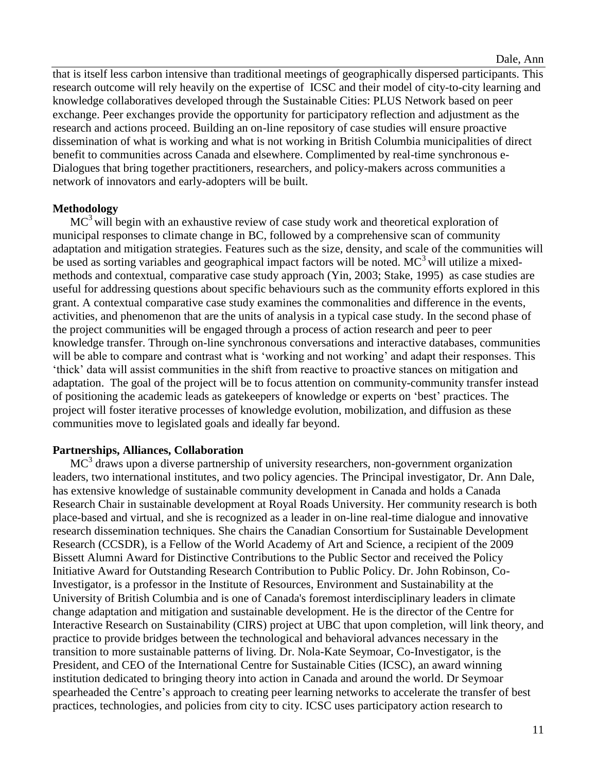that is itself less carbon intensive than traditional meetings of geographically dispersed participants. This research outcome will rely heavily on the expertise of ICSC and their model of city-to-city learning and knowledge collaboratives developed through the Sustainable Cities: PLUS Network based on peer exchange. Peer exchanges provide the opportunity for participatory reflection and adjustment as the research and actions proceed. Building an on-line repository of case studies will ensure proactive dissemination of what is working and what is not working in British Columbia municipalities of direct benefit to communities across Canada and elsewhere. Complimented by real-time synchronous e-Dialogues that bring together practitioners, researchers, and policy-makers across communities a network of innovators and early-adopters will be built.

# **Methodology**

 $MC<sup>3</sup>$  will begin with an exhaustive review of case study work and theoretical exploration of municipal responses to climate change in BC, followed by a comprehensive scan of community adaptation and mitigation strategies. Features such as the size, density, and scale of the communities will be used as sorting variables and geographical impact factors will be noted.  $MC^3$  will utilize a mixedmethods and contextual, comparative case study approach (Yin, 2003; Stake, 1995) as case studies are useful for addressing questions about specific behaviours such as the community efforts explored in this grant. A contextual comparative case study examines the commonalities and difference in the events, activities, and phenomenon that are the units of analysis in a typical case study. In the second phase of the project communities will be engaged through a process of action research and peer to peer knowledge transfer. Through on-line synchronous conversations and interactive databases, communities will be able to compare and contrast what is 'working and not working' and adapt their responses. This 'thick' data will assist communities in the shift from reactive to proactive stances on mitigation and adaptation. The goal of the project will be to focus attention on community-community transfer instead of positioning the academic leads as gatekeepers of knowledge or experts on 'best' practices. The project will foster iterative processes of knowledge evolution, mobilization, and diffusion as these communities move to legislated goals and ideally far beyond.

# **Partnerships, Alliances, Collaboration**

 $MC<sup>3</sup>$  draws upon a diverse partnership of university researchers, non-government organization leaders, two international institutes, and two policy agencies. The Principal investigator, Dr. Ann Dale, has extensive knowledge of sustainable community development in Canada and holds a Canada Research Chair in sustainable development at Royal Roads University. Her community research is both place-based and virtual, and she is recognized as a leader in on-line real-time dialogue and innovative research dissemination techniques. She chairs the Canadian Consortium for Sustainable Development Research (CCSDR), is a Fellow of the World Academy of Art and Science, a recipient of the 2009 Bissett Alumni Award for Distinctive Contributions to the Public Sector and received the Policy Initiative Award for Outstanding Research Contribution to Public Policy. Dr. John Robinson, Co-Investigator, is a professor in the Institute of Resources, Environment and Sustainability at the University of British Columbia and is one of Canada's foremost interdisciplinary leaders in climate change adaptation and mitigation and sustainable development. He is the director of the Centre for Interactive Research on Sustainability (CIRS) project at UBC that upon completion, will link theory, and practice to provide bridges between the technological and behavioral advances necessary in the transition to more sustainable patterns of living. Dr. Nola-Kate Seymoar, Co-Investigator, is the President, and CEO of the International Centre for Sustainable Cities (ICSC), an award winning institution dedicated to bringing theory into action in Canada and around the world. Dr Seymoar spearheaded the Centre's approach to creating peer learning networks to accelerate the transfer of best practices, technologies, and policies from city to city. ICSC uses participatory action research to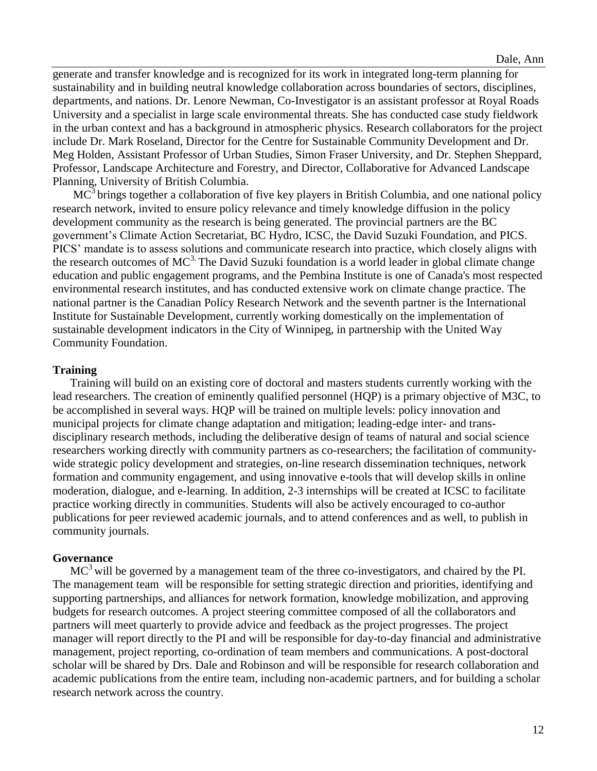generate and transfer knowledge and is recognized for its work in integrated long-term planning for sustainability and in building neutral knowledge collaboration across boundaries of sectors, disciplines, departments, and nations. Dr. Lenore Newman, Co-Investigator is an assistant professor at Royal Roads University and a specialist in large scale environmental threats. She has conducted case study fieldwork in the urban context and has a background in atmospheric physics. Research collaborators for the project include Dr. Mark Roseland, Director for the Centre for Sustainable Community Development and Dr. Meg Holden, Assistant Professor of Urban Studies, Simon Fraser University, and Dr. Stephen Sheppard, Professor, Landscape Architecture and Forestry, and Director, Collaborative for Advanced Landscape Planning, University of British Columbia.

 $MC<sup>3</sup>$  brings together a collaboration of five key players in British Columbia, and one national policy research network, invited to ensure policy relevance and timely knowledge diffusion in the policy development community as the research is being generated. The provincial partners are the BC government's Climate Action Secretariat, BC Hydro, ICSC, the David Suzuki Foundation, and PICS. PICS' mandate is to assess solutions and communicate research into practice, which closely aligns with the research outcomes of  $MC^3$ . The David Suzuki foundation is a world leader in global climate change education and public engagement programs, and the Pembina Institute is one of Canada's most respected environmental research institutes, and has conducted extensive work on climate change practice. The national partner is the Canadian Policy Research Network and the seventh partner is the International Institute for Sustainable Development, currently working domestically on the implementation of sustainable development indicators in the City of Winnipeg, in partnership with the United Way Community Foundation.

#### **Training**

Training will build on an existing core of doctoral and masters students currently working with the lead researchers. The creation of eminently qualified personnel (HQP) is a primary objective of M3C, to be accomplished in several ways. HQP will be trained on multiple levels: policy innovation and municipal projects for climate change adaptation and mitigation; leading-edge inter- and transdisciplinary research methods, including the deliberative design of teams of natural and social science researchers working directly with community partners as co-researchers; the facilitation of communitywide strategic policy development and strategies, on-line research dissemination techniques, network formation and community engagement, and using innovative e-tools that will develop skills in online moderation, dialogue, and e-learning. In addition, 2-3 internships will be created at ICSC to facilitate practice working directly in communities. Students will also be actively encouraged to co-author publications for peer reviewed academic journals, and to attend conferences and as well, to publish in community journals.

# **Governance**

 $MC<sup>3</sup>$  will be governed by a management team of the three co-investigators, and chaired by the PI. The management team will be responsible for setting strategic direction and priorities, identifying and supporting partnerships, and alliances for network formation, knowledge mobilization, and approving budgets for research outcomes. A project steering committee composed of all the collaborators and partners will meet quarterly to provide advice and feedback as the project progresses. The project manager will report directly to the PI and will be responsible for day-to-day financial and administrative management, project reporting, co-ordination of team members and communications. A post-doctoral scholar will be shared by Drs. Dale and Robinson and will be responsible for research collaboration and academic publications from the entire team, including non-academic partners, and for building a scholar research network across the country.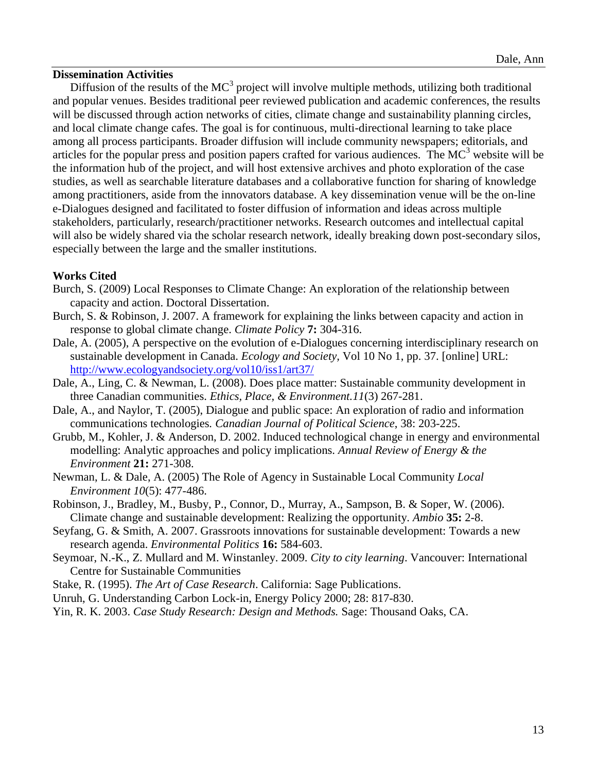#### **Dissemination Activities**

Diffusion of the results of the  $MC^3$  project will involve multiple methods, utilizing both traditional and popular venues. Besides traditional peer reviewed publication and academic conferences, the results will be discussed through action networks of cities, climate change and sustainability planning circles, and local climate change cafes. The goal is for continuous, multi-directional learning to take place among all process participants. Broader diffusion will include community newspapers; editorials, and articles for the popular press and position papers crafted for various audiences. The  $MC^3$  website will be the information hub of the project, and will host extensive archives and photo exploration of the case studies, as well as searchable literature databases and a collaborative function for sharing of knowledge among practitioners, aside from the innovators database. A key dissemination venue will be the on-line e-Dialogues designed and facilitated to foster diffusion of information and ideas across multiple stakeholders, particularly, research/practitioner networks. Research outcomes and intellectual capital will also be widely shared via the scholar research network, ideally breaking down post-secondary silos, especially between the large and the smaller institutions.

# **Works Cited**

- Burch, S. (2009) Local Responses to Climate Change: An exploration of the relationship between capacity and action. Doctoral Dissertation.
- Burch, S. & Robinson, J. 2007. A framework for explaining the links between capacity and action in response to global climate change. *Climate Policy* **7:** 304-316.
- Dale, A. (2005), A perspective on the evolution of e-Dialogues concerning interdisciplinary research on sustainable development in Canada. *Ecology and Society,* Vol 10 No 1, pp. 37. [online] URL: <http://www.ecologyandsociety.org/vol10/iss1/art37/>
- Dale, A., Ling, C. & Newman, L. (2008). Does place matter: Sustainable community development in three Canadian communities. *Ethics, Place, & Environment.11*(3) 267-281.
- Dale, A., and Naylor, T. (2005), Dialogue and public space: An exploration of radio and information communications technologies*. Canadian Journal of Political Science*, 38: 203-225.
- Grubb, M., Kohler, J. & Anderson, D. 2002. Induced technological change in energy and environmental modelling: Analytic approaches and policy implications. *Annual Review of Energy & the Environment* **21:** 271-308.
- Newman, L. & Dale, A. (2005) The Role of Agency in Sustainable Local Community *Local Environment 10*(5): 477-486.
- Robinson, J., Bradley, M., Busby, P., Connor, D., Murray, A., Sampson, B. & Soper, W. (2006). Climate change and sustainable development: Realizing the opportunity. *Ambio* **35:** 2-8.
- Seyfang, G. & Smith, A. 2007. Grassroots innovations for sustainable development: Towards a new research agenda. *Environmental Politics* **16:** 584-603.
- Seymoar, N.-K., Z. Mullard and M. Winstanley. 2009. *City to city learning*. Vancouver: International Centre for Sustainable Communities
- Stake, R. (1995). *The Art of Case Research*. California: Sage Publications.
- Unruh, G. Understanding Carbon Lock-in, Energy Policy 2000; 28: 817-830.
- Yin, R. K. 2003. *Case Study Research: Design and Methods.* Sage: Thousand Oaks, CA.